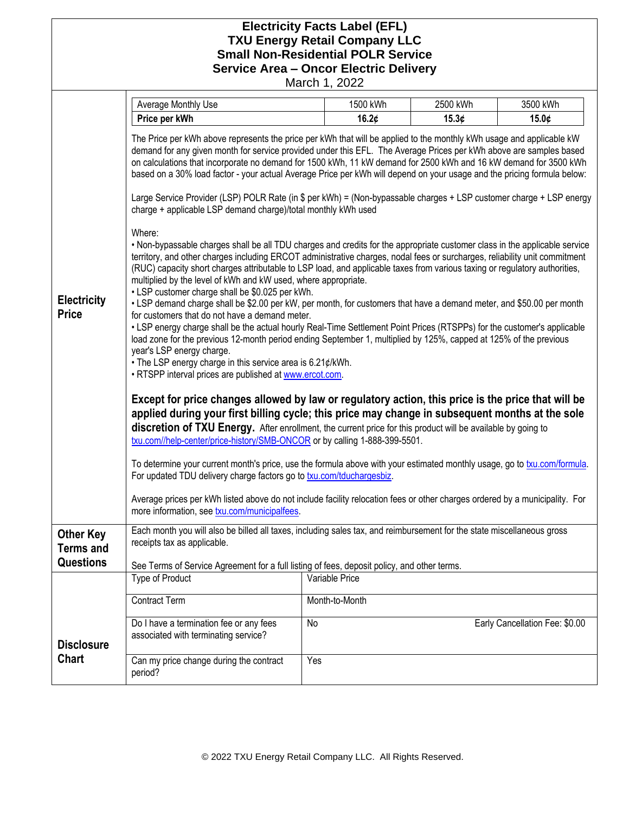## **Electricity Facts Label (EFL) TXU Energy Retail Company LLC Small Non-Residential POLR Service Service Area – Oncor Electric Delivery**

March 1, 2022

|                                      | Average Monthly Use                                                                                                                                                                                                                                                                                                                                                                                                                                                                                                                                                                                                                                                                                                                                                                                                                                                                                                                                                                                                                                                                                                                                                                                                                                                                                                                                                                                                                                                                                                                                                                                                                                                                                                                                                                                                                                                                                                                                                                                                                                                                                                                                                                                                                                                                                                                                                                                   | 1500 kWh       | 2500 kWh | 3500 kWh                       |
|--------------------------------------|-------------------------------------------------------------------------------------------------------------------------------------------------------------------------------------------------------------------------------------------------------------------------------------------------------------------------------------------------------------------------------------------------------------------------------------------------------------------------------------------------------------------------------------------------------------------------------------------------------------------------------------------------------------------------------------------------------------------------------------------------------------------------------------------------------------------------------------------------------------------------------------------------------------------------------------------------------------------------------------------------------------------------------------------------------------------------------------------------------------------------------------------------------------------------------------------------------------------------------------------------------------------------------------------------------------------------------------------------------------------------------------------------------------------------------------------------------------------------------------------------------------------------------------------------------------------------------------------------------------------------------------------------------------------------------------------------------------------------------------------------------------------------------------------------------------------------------------------------------------------------------------------------------------------------------------------------------------------------------------------------------------------------------------------------------------------------------------------------------------------------------------------------------------------------------------------------------------------------------------------------------------------------------------------------------------------------------------------------------------------------------------------------------|----------------|----------|--------------------------------|
|                                      | Price per kWh                                                                                                                                                                                                                                                                                                                                                                                                                                                                                                                                                                                                                                                                                                                                                                                                                                                                                                                                                                                                                                                                                                                                                                                                                                                                                                                                                                                                                                                                                                                                                                                                                                                                                                                                                                                                                                                                                                                                                                                                                                                                                                                                                                                                                                                                                                                                                                                         | 16.2 $\phi$    | 15.3¢    | 15.0¢                          |
| <b>Electricity</b><br><b>Price</b>   | The Price per kWh above represents the price per kWh that will be applied to the monthly kWh usage and applicable kW<br>demand for any given month for service provided under this EFL. The Average Prices per kWh above are samples based<br>on calculations that incorporate no demand for 1500 kWh, 11 kW demand for 2500 kWh and 16 kW demand for 3500 kWh<br>based on a 30% load factor - your actual Average Price per kWh will depend on your usage and the pricing formula below:<br>Large Service Provider (LSP) POLR Rate (in \$ per kWh) = (Non-bypassable charges + LSP customer charge + LSP energy<br>charge + applicable LSP demand charge)/total monthly kWh used<br>Where:<br>. Non-bypassable charges shall be all TDU charges and credits for the appropriate customer class in the applicable service<br>territory, and other charges including ERCOT administrative charges, nodal fees or surcharges, reliability unit commitment<br>(RUC) capacity short charges attributable to LSP load, and applicable taxes from various taxing or regulatory authorities,<br>multiplied by the level of kWh and kW used, where appropriate.<br>• LSP customer charge shall be \$0.025 per kWh.<br>• LSP demand charge shall be \$2.00 per kW, per month, for customers that have a demand meter, and \$50.00 per month<br>for customers that do not have a demand meter.<br>• LSP energy charge shall be the actual hourly Real-Time Settlement Point Prices (RTSPPs) for the customer's applicable<br>load zone for the previous 12-month period ending September 1, multiplied by 125%, capped at 125% of the previous<br>year's LSP energy charge.<br>• The LSP energy charge in this service area is 6.21¢/kWh.<br>. RTSPP interval prices are published at www.ercot.com.<br>Except for price changes allowed by law or regulatory action, this price is the price that will be<br>applied during your first billing cycle; this price may change in subsequent months at the sole<br>discretion of TXU Energy. After enrollment, the current price for this product will be available by going to<br>txu.com//help-center/price-history/SMB-ONCOR or by calling 1-888-399-5501.<br>To determine your current month's price, use the formula above with your estimated monthly usage, go to txu.com/formula.<br>For updated TDU delivery charge factors go to txu.com/tduchargesbiz. |                |          |                                |
|                                      | Average prices per kWh listed above do not include facility relocation fees or other charges ordered by a municipality. For<br>more information, see txu.com/municipalfees.                                                                                                                                                                                                                                                                                                                                                                                                                                                                                                                                                                                                                                                                                                                                                                                                                                                                                                                                                                                                                                                                                                                                                                                                                                                                                                                                                                                                                                                                                                                                                                                                                                                                                                                                                                                                                                                                                                                                                                                                                                                                                                                                                                                                                           |                |          |                                |
| <b>Other Key</b><br><b>Terms and</b> | Each month you will also be billed all taxes, including sales tax, and reimbursement for the state miscellaneous gross<br>receipts tax as applicable.                                                                                                                                                                                                                                                                                                                                                                                                                                                                                                                                                                                                                                                                                                                                                                                                                                                                                                                                                                                                                                                                                                                                                                                                                                                                                                                                                                                                                                                                                                                                                                                                                                                                                                                                                                                                                                                                                                                                                                                                                                                                                                                                                                                                                                                 |                |          |                                |
| <b>Questions</b>                     | See Terms of Service Agreement for a full listing of fees, deposit policy, and other terms.                                                                                                                                                                                                                                                                                                                                                                                                                                                                                                                                                                                                                                                                                                                                                                                                                                                                                                                                                                                                                                                                                                                                                                                                                                                                                                                                                                                                                                                                                                                                                                                                                                                                                                                                                                                                                                                                                                                                                                                                                                                                                                                                                                                                                                                                                                           |                |          |                                |
|                                      | Type of Product                                                                                                                                                                                                                                                                                                                                                                                                                                                                                                                                                                                                                                                                                                                                                                                                                                                                                                                                                                                                                                                                                                                                                                                                                                                                                                                                                                                                                                                                                                                                                                                                                                                                                                                                                                                                                                                                                                                                                                                                                                                                                                                                                                                                                                                                                                                                                                                       | Variable Price |          |                                |
|                                      | <b>Contract Term</b>                                                                                                                                                                                                                                                                                                                                                                                                                                                                                                                                                                                                                                                                                                                                                                                                                                                                                                                                                                                                                                                                                                                                                                                                                                                                                                                                                                                                                                                                                                                                                                                                                                                                                                                                                                                                                                                                                                                                                                                                                                                                                                                                                                                                                                                                                                                                                                                  | Month-to-Month |          |                                |
| <b>Disclosure</b>                    | Do I have a termination fee or any fees<br>associated with terminating service?                                                                                                                                                                                                                                                                                                                                                                                                                                                                                                                                                                                                                                                                                                                                                                                                                                                                                                                                                                                                                                                                                                                                                                                                                                                                                                                                                                                                                                                                                                                                                                                                                                                                                                                                                                                                                                                                                                                                                                                                                                                                                                                                                                                                                                                                                                                       | No             |          | Early Cancellation Fee: \$0.00 |
| <b>Chart</b>                         | Can my price change during the contract<br>period?                                                                                                                                                                                                                                                                                                                                                                                                                                                                                                                                                                                                                                                                                                                                                                                                                                                                                                                                                                                                                                                                                                                                                                                                                                                                                                                                                                                                                                                                                                                                                                                                                                                                                                                                                                                                                                                                                                                                                                                                                                                                                                                                                                                                                                                                                                                                                    | Yes            |          |                                |